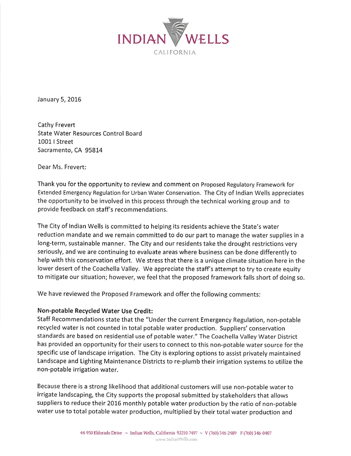

January 5, 2016

Cathy Frevert State Water Resources Control Board 10011 Street Sacramento, CA 95814

Dear Ms. Frevert:

Thank you for the opportunity to review and comment on Proposed Regulatory Framework for Extended Emergency Regulation for Urban Water Conservation. The City of Indian Wells appreciates the opportunity to be involved in this process through the technical working group and to provide feedback on staff's recommendations.

The City of Indian Wells is committed to helping its residents achieve the State's water reduction mandate and we remain committed to do our part to manage the water supplies in a long-term, sustainable manner. The City and our residents take the drought restrictions very seriously, and we are continuing to evaluate areas where business can be done differently to help with this conservation effort. We stress that there is a unique climate situation here in the lower desert of the Coachella Valley. We appreciate the staff's attempt to try to create equity to mitigate our situation; however, we feel that the proposed framework falls short of doing so.

We have reviewed the Proposed Framework and offer the following comments:

## Non-potable Recycled Water Use Credit:

Staff Recommendations state that the "Under the current Emergency Regulation, non-potable recycled water is not counted in total potable water production. Suppliers' conservation standards are based on residential use of potable water." The Coachella ValleyWater District has provided an opportunity for their users to connect to this non-potable water source for the specific use of landscape irrigation. The City is exploring options to assist privately maintained Landscape and Lighting Maintenance Districts to re-plumb their irrigation systems to utilize the non-potable irrigation water.

Because there is a strong likelihood that additional customers will use non-potable water to irrigate landscaping, the City supports the proposal submitted by stakeholders that allows suppliers to reduce their 2016 monthly potable water production bythe ratio of non-potable water use to total potable water production, multiplied by their total water production and